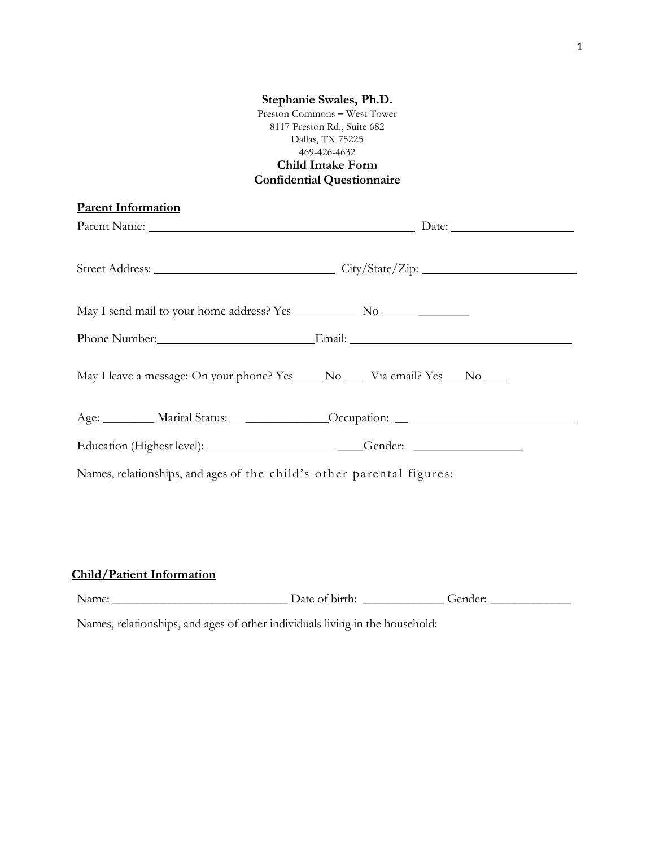## **Stephanie Swales, Ph.D.** Preston Commons – West Tower 8117 Preston Rd., Suite 682 Dallas, TX 75225 469-426-4632 **Child Intake Form Confidential Questionnaire Parent Information** Parent Name: Date: Date: Street Address: City/State/Zip: May I send mail to your home address? Yes No \_\_\_\_\_\_\_\_ Phone Number: Email: Email: Email: May I leave a message: On your phone? Yes No No Via email? Yes No No No Age: \_\_\_\_\_\_\_\_ Marital Status: \_\_\_\_\_\_\_\_\_\_\_\_\_Occupation: \_\_ Education (Highest level): \_\_\_\_\_\_\_\_\_\_\_\_\_\_\_\_\_\_\_\_\_\_\_\_\_\_\_\_\_Gender: \_\_\_\_\_\_\_\_\_\_\_\_\_\_\_\_\_ Names, relationships, and ages of the child's other parental figures:

## **Child/Patient Information**

| Name: | Date<br>birth<br>ΩŤ<br>$\cdot$ | $\sim$ $\sim$ |
|-------|--------------------------------|---------------|
|       |                                |               |

Names, relationships, and ages of other individuals living in the household: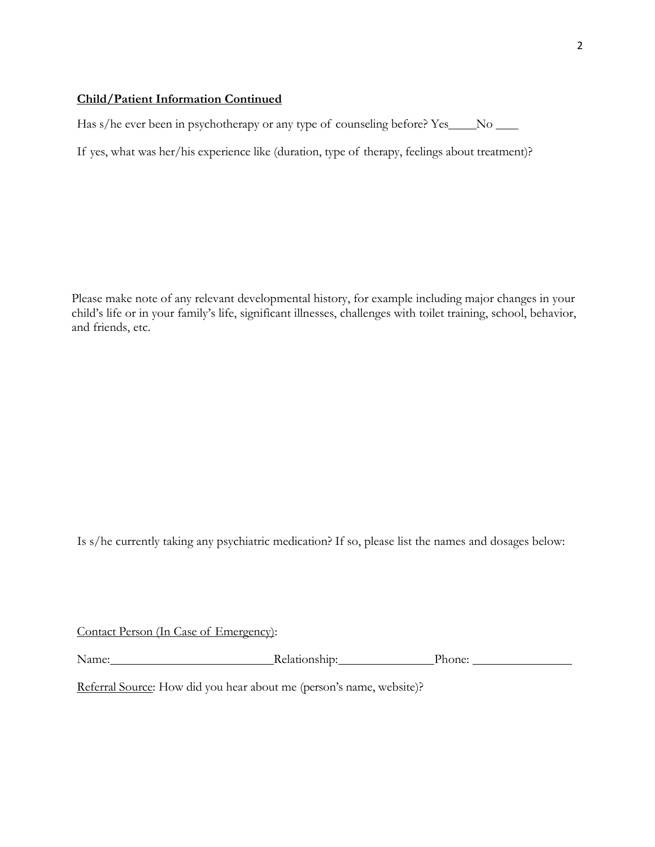## **Child/Patient Information Continued**

Has s/he ever been in psychotherapy or any type of counseling before? Yes No No

If yes, what was her/his experience like (duration, type of therapy, feelings about treatment)?

Please make note of any relevant developmental history, for example including major changes in your child's life or in your family's life, significant illnesses, challenges with toilet training, school, behavior, and friends, etc.

Is s/he currently taking any psychiatric medication? If so, please list the names and dosages below:

| Contact Person (In Case of Emergency): |  |  |  |
|----------------------------------------|--|--|--|
|                                        |  |  |  |

Name: Relationship: Phone: Phone:

Referral Source: How did you hear about me (person's name, website)?